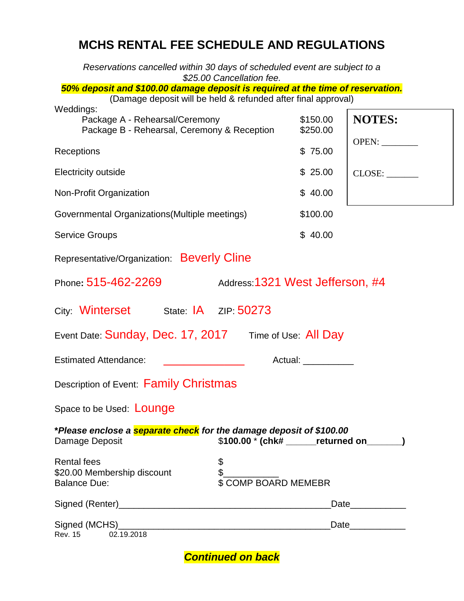# **MCHS RENTAL FEE SCHEDULE AND REGULATIONS**

*Reservations cancelled within 30 days of scheduled event are subject to a \$25.00 Cancellation fee. 50% deposit and \$100.00 damage deposit is required at the time of reservation.*  (Damage deposit will be held & refunded after final approval) Weddings: Package A - Rehearsal/Ceremony \$150.00 Package B - Rehearsal, Ceremony & Reception \$250.00 Receptions \$ 75.00 Electricity outside  $$ 25.00$ Non-Profit Organization  $$ 40.00$ Governmental Organizations(Multiple meetings) \$100.00 Service Groups  $\sim$  \$ 40.00 Representative/Organization: Beverly Cline Phone**:** 515-462-2269 Address:1321 West Jefferson, #4 City: Winterset State: IA ZIP: 50273 Event Date: Sunday, Dec. 17, 2017 Time of Use: All Day Estimated Attendance: \_\_\_\_\_\_\_\_\_\_\_\_\_\_\_\_\_\_\_\_\_\_\_\_ Actual: \_\_\_\_\_\_\_\_\_\_ Description of Event: Family Christmas Space to be Used: **LOUNGE \****Please enclose a separate check for the damage deposit of \$100.00* Damage Deposit  $\begin{array}{c} 1.1 \quad \text{S100.00} \quad \text{*} \quad \text{chk}\text{#} \quad \text{S101.00} \end{array}$  **Example 2014** Rental fees \$  $$20.00$  Membership discount  $$$ Balance Due:  $$ COMP$  BOARD MEMEBR  $C<sub>in</sub>$  and  $(D<sub>on</sub>tan)$ **NOTES:** OPEN: CLOSE:

| Signed (Renter) |            | Date |
|-----------------|------------|------|
|                 |            |      |
| Signed (MCHS)   |            | Date |
| Rev. 15         | 02.19.2018 |      |

# *Continued on back*